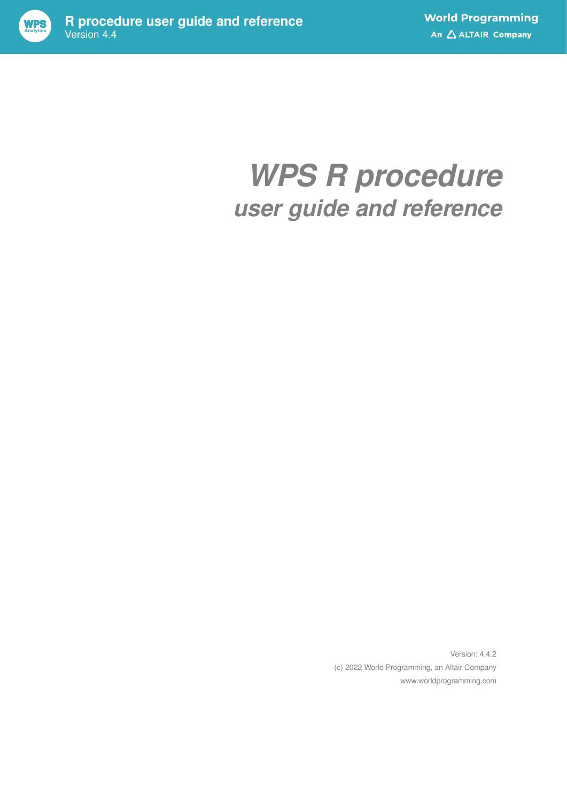

# *WPS R procedure user guide and reference*

Version: 4.4.2 (c) 2022 World Programming, an Altair Company www.worldprogramming.com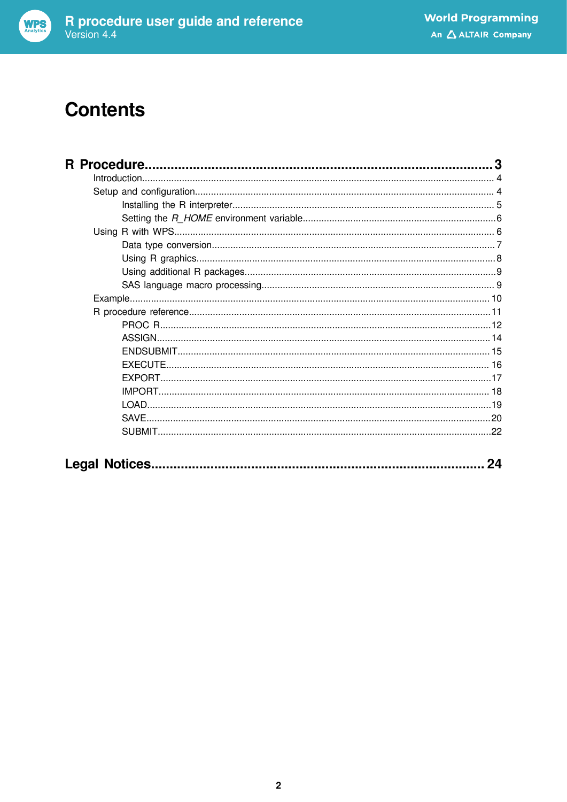

# **Contents**

| 24 |
|----|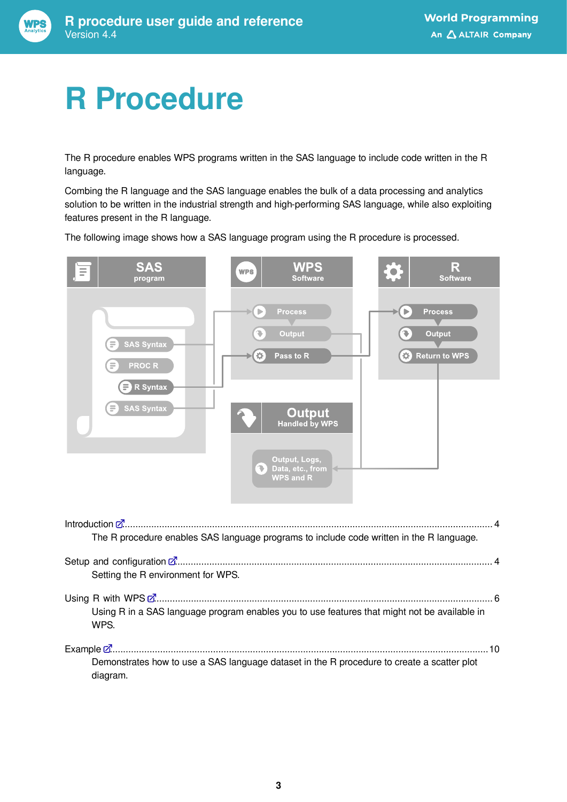

# <span id="page-2-0"></span>**R Procedure**

The R procedure enables WPS programs written in the SAS language to include code written in the R language.

Combing the R language and the SAS language enables the bulk of a data processing and analytics solution to be written in the industrial strength and high-performing SAS language, while also exploiting features present in the R language.

The following image shows how a SAS language program using the R procedure is processed.

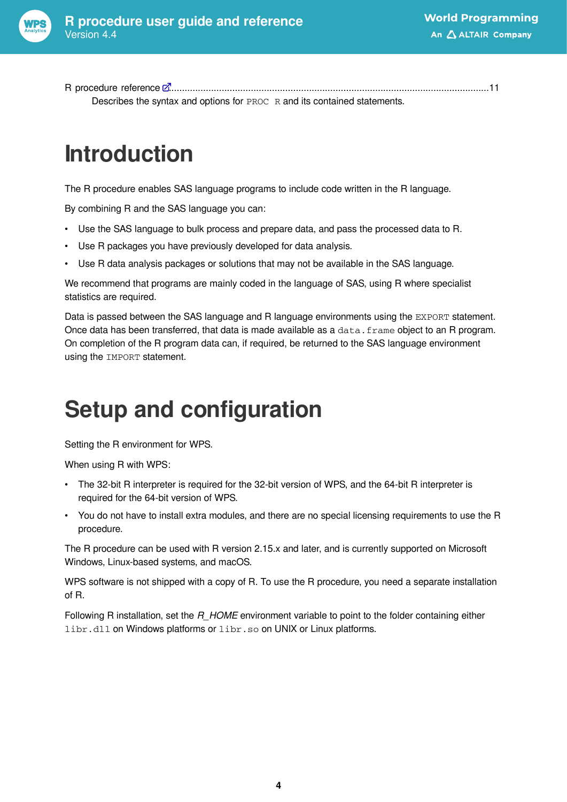

R procedure referenc[e](#page-10-0) .........................................................................................................................11 Describes the syntax and options for PROC R and its contained statements.

# <span id="page-3-0"></span>**Introduction**

The R procedure enables SAS language programs to include code written in the R language.

By combining R and the SAS language you can:

- Use the SAS language to bulk process and prepare data, and pass the processed data to R.
- Use R packages you have previously developed for data analysis.
- Use R data analysis packages or solutions that may not be available in the SAS language.

We recommend that programs are mainly coded in the language of SAS, using R where specialist statistics are required.

Data is passed between the SAS language and R language environments using the EXPORT statement. Once data has been transferred, that data is made available as a data. frame object to an R program. On completion of the R program data can, if required, be returned to the SAS language environment using the IMPORT statement.

# <span id="page-3-1"></span>**Setup and configuration**

Setting the R environment for WPS.

When using R with WPS:

- The 32-bit R interpreter is required for the 32-bit version of WPS, and the 64-bit R interpreter is required for the 64-bit version of WPS.
- You do not have to install extra modules, and there are no special licensing requirements to use the R procedure.

The R procedure can be used with R version 2.15.x and later, and is currently supported on Microsoft Windows, Linux-based systems, and macOS.

WPS software is not shipped with a copy of R. To use the R procedure, you need a separate installation of R.

Following R installation, set the *R\_HOME* environment variable to point to the folder containing either libr.dll on Windows platforms or libr.so on UNIX or Linux platforms.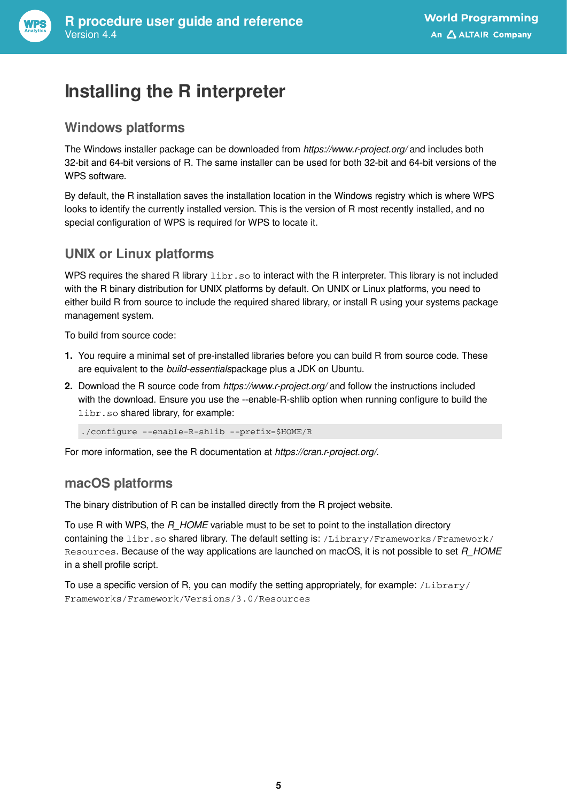

# <span id="page-4-0"></span>**Installing the R interpreter**

# **Windows platforms**

The Windows installer package can be downloaded from *https://www.r-project.org/* and includes both 32-bit and 64-bit versions of R. The same installer can be used for both 32-bit and 64-bit versions of the WPS software.

By default, the R installation saves the installation location in the Windows registry which is where WPS looks to identify the currently installed version. This is the version of R most recently installed, and no special configuration of WPS is required for WPS to locate it.

# **UNIX or Linux platforms**

WPS requires the shared R library  $\text{libr.s}$  to interact with the R interpreter. This library is not included with the R binary distribution for UNIX platforms by default. On UNIX or Linux platforms, you need to either build R from source to include the required shared library, or install R using your systems package management system.

To build from source code:

- **1.** You require a minimal set of pre-installed libraries before you can build R from source code. These are equivalent to the *build-essentials*package plus a JDK on Ubuntu.
- **2.** Download the R source code from *https://www.r-project.org/* and follow the instructions included with the download. Ensure you use the --enable-R-shlib option when running configure to build the libr.so shared library, for example:

./configure --enable-R-shlib --prefix=\$HOME/R

For more information, see the R documentation at *https://cran.r-project.org/*.

# **macOS platforms**

The binary distribution of R can be installed directly from the R project website.

To use R with WPS, the *R\_HOME* variable must to be set to point to the installation directory containing the libr.so shared library. The default setting is: /Library/Frameworks/Framework/ Resources. Because of the way applications are launched on macOS, it is not possible to set *R\_HOME* in a shell profile script.

To use a specific version of R, you can modify the setting appropriately, for example:  $/Library/$ Frameworks/Framework/Versions/3.0/Resources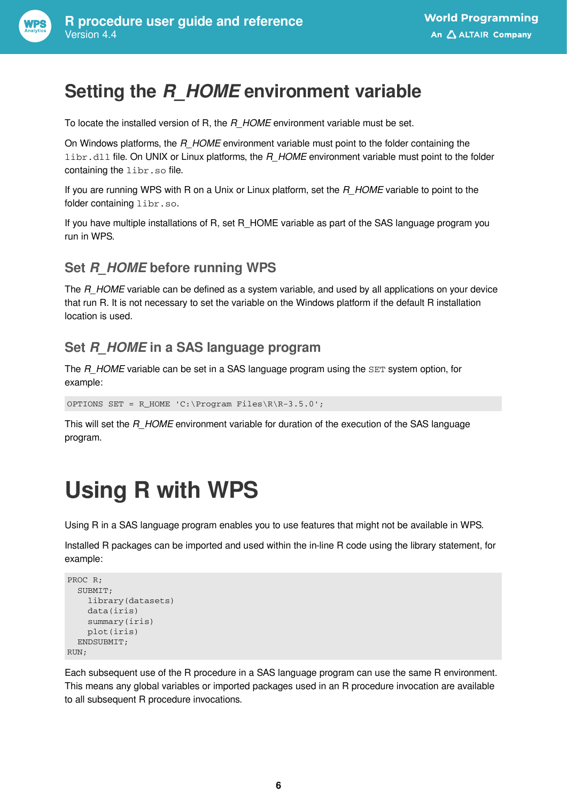

# <span id="page-5-0"></span>**Setting the** *R\_HOME* **environment variable**

To locate the installed version of R, the *R\_HOME* environment variable must be set.

On Windows platforms, the *R\_HOME* environment variable must point to the folder containing the libr.dll file. On UNIX or Linux platforms, the *R\_HOME* environment variable must point to the folder containing the libr.so file.

If you are running WPS with R on a Unix or Linux platform, set the *R\_HOME* variable to point to the folder containing libr.so.

If you have multiple installations of R, set R HOME variable as part of the SAS language program you run in WPS.

# **Set** *R\_HOME* **before running WPS**

The *R\_HOME* variable can be defined as a system variable, and used by all applications on your device that run R. It is not necessary to set the variable on the Windows platform if the default R installation location is used.

# **Set** *R\_HOME* **in a SAS language program**

The *R\_HOME* variable can be set in a SAS language program using the SET system option, for example:

OPTIONS SET = R\_HOME 'C:\Program Files\R\R-3.5.0';

This will set the *R\_HOME* environment variable for duration of the execution of the SAS language program.

# <span id="page-5-1"></span>**Using R with WPS**

Using R in a SAS language program enables you to use features that might not be available in WPS.

Installed R packages can be imported and used within the in-line R code using the library statement, for example:

```
PROC R;
   SUBMIT; 
     library(datasets) 
     data(iris) 
     summary(iris) 
     plot(iris)
   ENDSUBMIT;
RUN;
```
Each subsequent use of the R procedure in a SAS language program can use the same R environment. This means any global variables or imported packages used in an R procedure invocation are available to all subsequent R procedure invocations.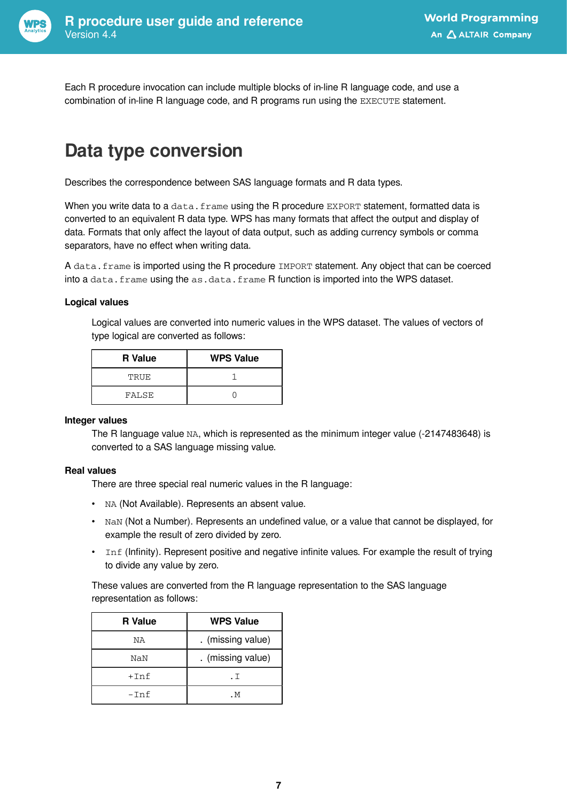

Each R procedure invocation can include multiple blocks of in-line R language code, and use a combination of in-line R language code, and R programs run using the EXECUTE statement.

# <span id="page-6-0"></span>**Data type conversion**

Describes the correspondence between SAS language formats and R data types.

When you write data to a data. frame using the R procedure EXPORT statement, formatted data is converted to an equivalent R data type. WPS has many formats that affect the output and display of data. Formats that only affect the layout of data output, such as adding currency symbols or comma separators, have no effect when writing data.

A data.frame is imported using the R procedure IMPORT statement. Any object that can be coerced into a data. frame using the as.data.frame R function is imported into the WPS dataset.

#### **Logical values**

Logical values are converted into numeric values in the WPS dataset. The values of vectors of type logical are converted as follows:

| <b>R</b> Value | <b>WPS Value</b> |
|----------------|------------------|
| TRUE           |                  |
| FALSE          |                  |

#### **Integer values**

The R language value NA, which is represented as the minimum integer value (-2147483648) is converted to a SAS language missing value.

#### **Real values**

There are three special real numeric values in the R language:

- NA (Not Available). Represents an absent value.
- NaN (Not a Number). Represents an undefined value, or a value that cannot be displayed, for example the result of zero divided by zero.
- Inf (Infinity). Represent positive and negative infinite values. For example the result of trying to divide any value by zero.

These values are converted from the R language representation to the SAS language representation as follows:

| <b>R</b> Value | <b>WPS Value</b>  |
|----------------|-------------------|
| ΝA             | . (missing value) |
| NaN            | . (missing value) |
| $+Tnf$         | . т               |
| $-Tn f$        | . М               |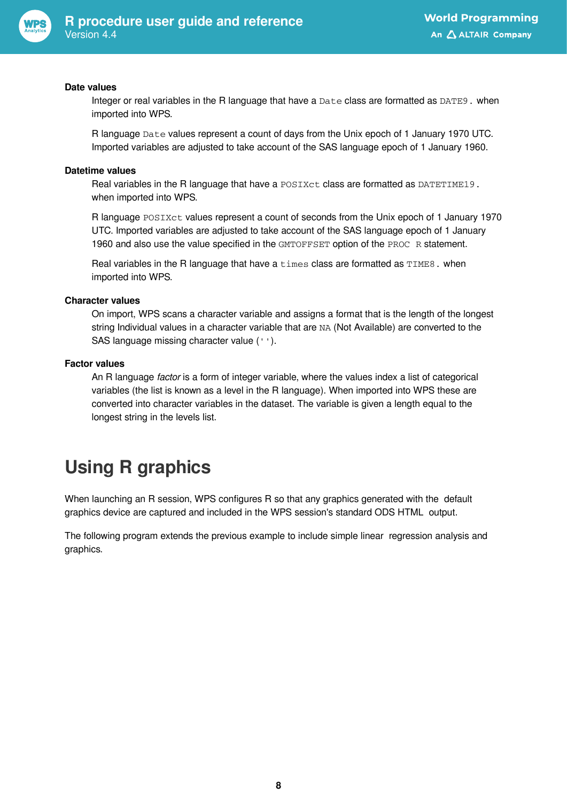

#### **Date values**

Integer or real variables in the R language that have a  $Date$  class are formatted as  $DATE9$ . when imported into WPS.

R language Date values represent a count of days from the Unix epoch of 1 January 1970 UTC. Imported variables are adjusted to take account of the SAS language epoch of 1 January 1960.

#### **Datetime values**

Real variables in the R language that have a POSIXct class are formatted as DATETIME19. when imported into WPS.

R language POSIXct values represent a count of seconds from the Unix epoch of 1 January 1970 UTC. Imported variables are adjusted to take account of the SAS language epoch of 1 January 1960 and also use the value specified in the GMTOFFSET option of the PROC R statement.

Real variables in the R language that have a  $t$  imes class are formatted as  $TIME8$ . when imported into WPS.

#### **Character values**

On import, WPS scans a character variable and assigns a format that is the length of the longest string Individual values in a character variable that are NA (Not Available) are converted to the SAS language missing character value ('').

#### **Factor values**

An R language *factor* is a form of integer variable, where the values index a list of categorical variables (the list is known as a level in the R language). When imported into WPS these are converted into character variables in the dataset. The variable is given a length equal to the longest string in the levels list.

# <span id="page-7-0"></span>**Using R graphics**

When launching an R session, WPS configures R so that any graphics generated with the default graphics device are captured and included in the WPS session's standard ODS HTML output.

The following program extends the previous example to include simple linear regression analysis and graphics.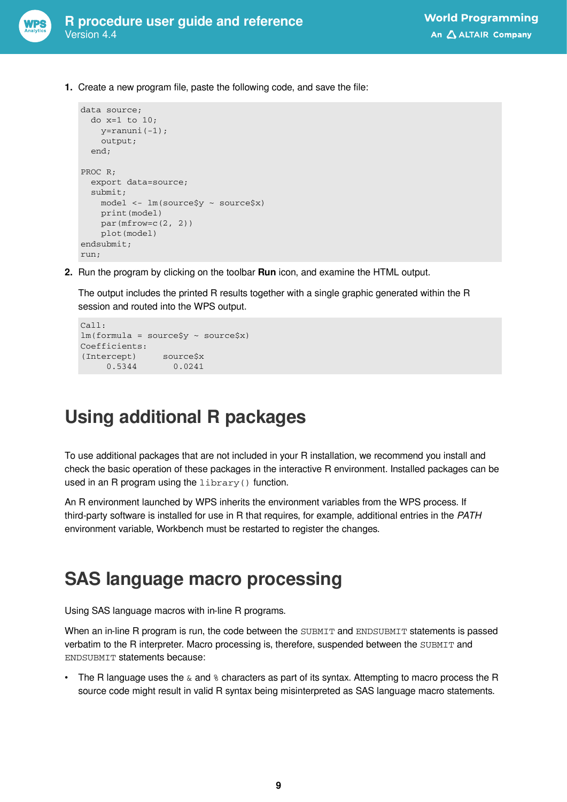

**1.** Create a new program file, paste the following code, and save the file:

```
data source;
   do x=1 to 10;
    y=ranuni(-1);
    output;
   end;
PROC R;
   export data=source;
   submit;
    model <- lm(source$y ~ source$x) 
     print(model)
    par(mfrow=c(2, 2)) plot(model)
endsubmit;
run;
```
**2.** Run the program by clicking on the toolbar **Run** icon, and examine the HTML output.

The output includes the printed R results together with a single graphic generated within the R session and routed into the WPS output.

```
Call:
lm(formula = source\{y \sim source\{x})
Coefficients:
(Intercept) source$x
 0.5344 0.0241
```
# <span id="page-8-0"></span>**Using additional R packages**

To use additional packages that are not included in your R installation, we recommend you install and check the basic operation of these packages in the interactive R environment. Installed packages can be used in an R program using the  $\text{library}$ () function.

An R environment launched by WPS inherits the environment variables from the WPS process. If third-party software is installed for use in R that requires, for example, additional entries in the *PATH* environment variable, Workbench must be restarted to register the changes.

# <span id="page-8-1"></span>**SAS language macro processing**

Using SAS language macros with in-line R programs.

When an in-line R program is run, the code between the SUBMIT and ENDSUBMIT statements is passed verbatim to the R interpreter. Macro processing is, therefore, suspended between the SUBMIT and ENDSUBMIT statements because:

• The R language uses the  $\&$  and  $\&$  characters as part of its syntax. Attempting to macro process the R source code might result in valid R syntax being misinterpreted as SAS language macro statements.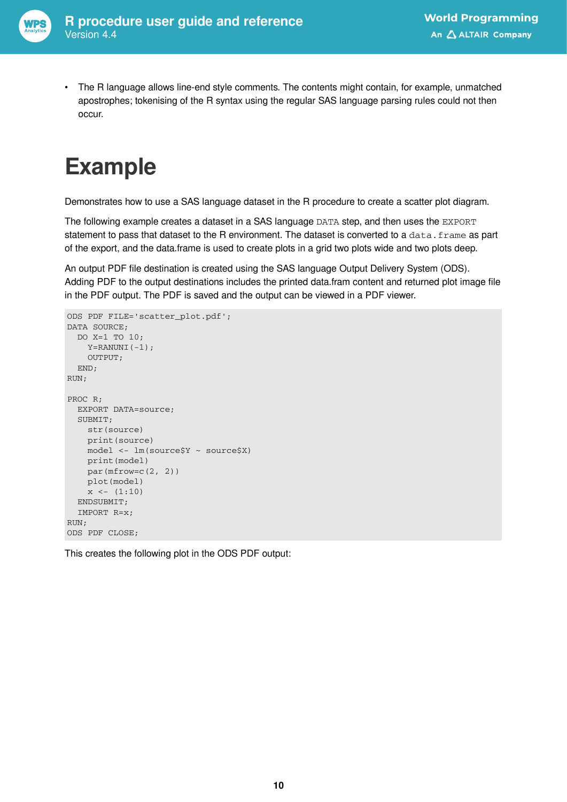

• The R language allows line-end style comments. The contents might contain, for example, unmatched apostrophes; tokenising of the R syntax using the regular SAS language parsing rules could not then occur.

# <span id="page-9-0"></span>**Example**

Demonstrates how to use a SAS language dataset in the R procedure to create a scatter plot diagram.

The following example creates a dataset in a SAS language DATA step, and then uses the EXPORT statement to pass that dataset to the R environment. The dataset is converted to a data. frame as part of the export, and the data.frame is used to create plots in a grid two plots wide and two plots deep.

An output PDF file destination is created using the SAS language Output Delivery System (ODS). Adding PDF to the output destinations includes the printed data.fram content and returned plot image file in the PDF output. The PDF is saved and the output can be viewed in a PDF viewer.

```
ODS PDF FILE='scatter_plot.pdf';
DATA SOURCE;
  DO X=1 TO 10;
    Y=RANUNI(-1);
     OUTPUT;
  END;
RUN;
PROC R;
  EXPORT DATA=source;
  SUBMIT;
    str(source)
    print(source)
    model <- lm(source$Y ~ source$X)
    print(model)
   par(mfrow=c(2, 2)) plot(model)
    x \leftarrow (1:10) ENDSUBMIT;
   IMPORT R=x;
RUN;
ODS PDF CLOSE;
```
This creates the following plot in the ODS PDF output: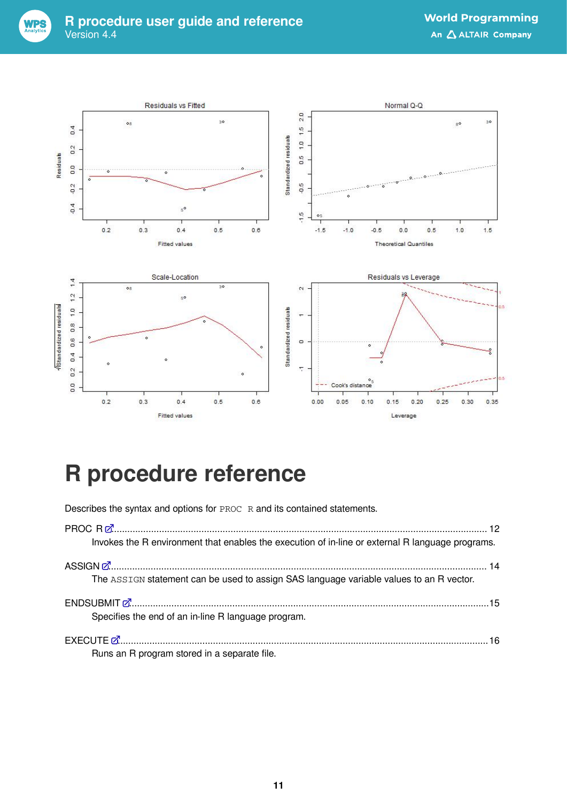



# <span id="page-10-0"></span>**R procedure reference**

Describes the syntax and options for PROC R and its contained statements.

| Invokes the R environment that enables the execution of in-line or external R language programs. |  |
|--------------------------------------------------------------------------------------------------|--|
|                                                                                                  |  |
| The ASSIGN statement can be used to assign SAS language variable values to an R vector.          |  |
|                                                                                                  |  |
| Specifies the end of an in-line R language program.                                              |  |
|                                                                                                  |  |
| Runs an R program stored in a separate file.                                                     |  |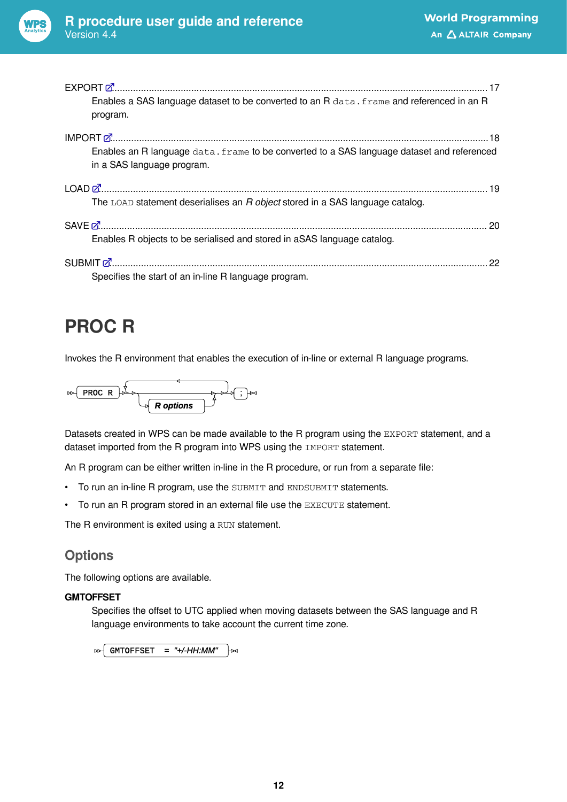

| Enables a SAS language dataset to be converted to an R data. frame and referenced in an R<br>program.                    |  |
|--------------------------------------------------------------------------------------------------------------------------|--|
| Enables an R language data. frame to be converted to a SAS language dataset and referenced<br>in a SAS language program. |  |
| The LOAD statement deserialises an R object stored in a SAS language catalog.                                            |  |
| Enables R objects to be serialised and stored in aSAS language catalog.                                                  |  |
| Specifies the start of an in-line R language program.                                                                    |  |

# <span id="page-11-0"></span>**PROC R**

Invokes the R environment that enables the execution of in-line or external R language programs.



Datasets created in WPS can be made available to the R program using the EXPORT statement, and a dataset imported from the R program into WPS using the IMPORT statement.

An R program can be either written in-line in the R procedure, or run from a separate file:

- To run an in-line R program, use the SUBMIT and ENDSUBMIT statements.
- To run an R program stored in an external file use the EXECUTE statement.

The R environment is exited using a RUN statement.

# **Options**

The following options are available.

### **GMTOFFSET**

Specifies the offset to UTC applied when moving datasets between the SAS language and R language environments to take account the current time zone.

 $GMTOFFSET = "+/+HH:MM"$  $\sim$ ₩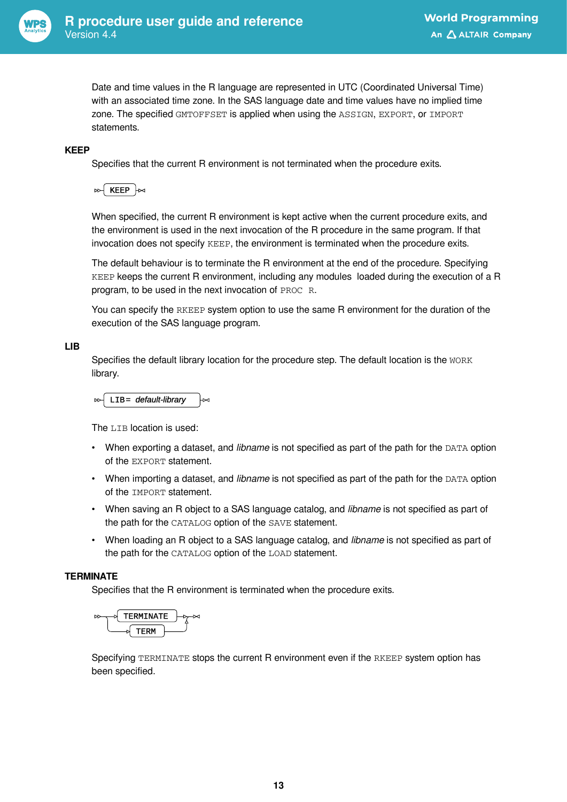

Date and time values in the R language are represented in UTC (Coordinated Universal Time) with an associated time zone. In the SAS language date and time values have no implied time zone. The specified GMTOFFSET is applied when using the ASSIGN, EXPORT, or IMPORT statements.

#### **KEEP**

Specifies that the current R environment is not terminated when the procedure exits.

 $\bowtie$  KEEP  $\bowtie$ 

When specified, the current R environment is kept active when the current procedure exits, and the environment is used in the next invocation of the R procedure in the same program. If that invocation does not specify KEEP, the environment is terminated when the procedure exits.

The default behaviour is to terminate the R environment at the end of the procedure. Specifying KEEP keeps the current R environment, including any modules loaded during the execution of a R program, to be used in the next invocation of PROC R.

You can specify the RKEEP system option to use the same R environment for the duration of the execution of the SAS language program.

#### **LIB**

Specifies the default library location for the procedure step. The default location is the WORK library.

$$
\qquad \qquad \bowtie \qquad \text{LIB= default-library} \qquad \qquad \bowtie
$$

The LIB location is used:

- When exporting a dataset, and *libname* is not specified as part of the path for the DATA option of the EXPORT statement.
- When importing a dataset, and *libname* is not specified as part of the path for the DATA option of the IMPORT statement.
- When saving an R object to a SAS language catalog, and *libname* is not specified as part of the path for the CATALOG option of the SAVE statement.
- When loading an R object to a SAS language catalog, and *libname* is not specified as part of the path for the CATALOG option of the LOAD statement.

#### **TERMINATE**

Specifies that the R environment is terminated when the procedure exits.

$$
\begin{picture}(120,14) \put(0,0){\line(1,0){100}} \put(15,0){\line(1,0){100}} \put(15,0){\line(1,0){100}} \put(15,0){\line(1,0){100}} \put(15,0){\line(1,0){100}} \put(15,0){\line(1,0){100}} \put(15,0){\line(1,0){100}} \put(15,0){\line(1,0){100}} \put(15,0){\line(1,0){100}} \put(15,0){\line(1,0){100}} \put(15,0){\line(1,0){100}} \put(15,0){\line(1,0){100}} \put(15,0){\line(1,0){100}} \put(15,0){\line(1,0){100}} \put(15,0){\line(1,0){100}} \put(15,0){\line(1,0){100}} \put(15,0){\line(1,0){100}} \put(15,0){\line(1,0){100}} \put(15,0){\line(1,0){100}} \put(15,0){\line(1,0){100}} \put(15,0){\line(1,0){100}} \put(15,0){\line(1,0){100}} \put(15,0){\line(1,0){100}} \put(15,0){\line(1,0){100}} \put(15,0){\line(1,0){100}} \put(15,0){\line(1,0){100}} \put(15,0){\line(1,0){100}} \put(15,0){\line(1,0){100}} \put(15,0){\line(1,0){100}} \put(15,0){\line(1,0){100}} \put(15,0){\line(1,0){100}} \put(15,0){\line(1,0){100}} \put(15,0){\line(1,0){100}} \put(15,0){\line(1,0){100}} \put(15,0){\line(1,0){100}} \put(15,0){\line(1,0){100}} \put(15,0){\line(1,0){100}} \put(15,0){\line(1,0){100}} \put(15,0){\line(1,0){100}} \put(15,0){
$$

Specifying TERMINATE stops the current R environment even if the RKEEP system option has been specified.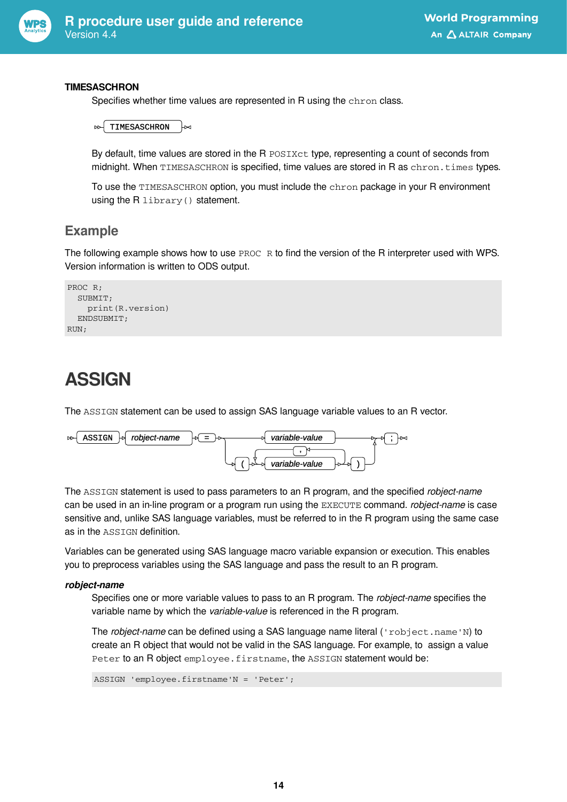

#### **TIMESASCHRON**

Specifies whether time values are represented in R using the chron class.

TIMESASCHRON  $\rightarrow$ L⊳а

By default, time values are stored in the R POSIXct type, representing a count of seconds from midnight. When TIMESASCHRON is specified, time values are stored in R as chron.times types.

To use the TIMESASCHRON option, you must include the chron package in your R environment using the R library() statement.

## **Example**

The following example shows how to use  $PROC$  R to find the version of the R interpreter used with WPS. Version information is written to ODS output.

```
PROC R;
   SUBMIT;
     print(R.version)
   ENDSUBMIT;
RUN;
```
# <span id="page-13-0"></span>**ASSIGN**

The ASSIGN statement can be used to assign SAS language variable values to an R vector.



The ASSIGN statement is used to pass parameters to an R program, and the specified *robject-name* can be used in an in-line program or a program run using the EXECUTE command. *robject-name* is case sensitive and, unlike SAS language variables, must be referred to in the R program using the same case as in the ASSIGN definition.

Variables can be generated using SAS language macro variable expansion or execution. This enables you to preprocess variables using the SAS language and pass the result to an R program.

#### *robject-name*

Specifies one or more variable values to pass to an R program. The *robject-name* specifies the variable name by which the *variable-value* is referenced in the R program.

The *robject-name* can be defined using a SAS language name literal ('robject.name'N) to create an R object that would not be valid in the SAS language. For example, to assign a value Peter to an R object employee.firstname, the ASSIGN statement would be:

ASSIGN 'employee.firstname'N = 'Peter';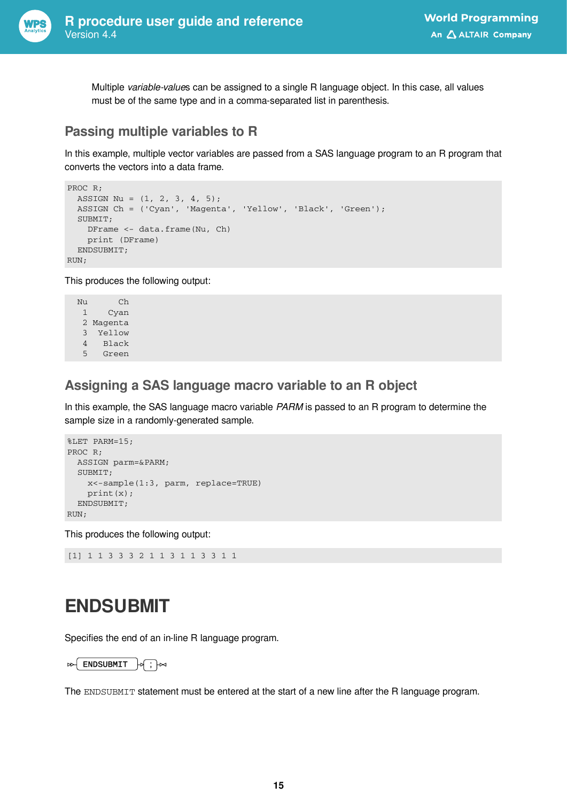

Multiple *variable-value*s can be assigned to a single R language object. In this case, all values must be of the same type and in a comma-separated list in parenthesis.

# **Passing multiple variables to R**

In this example, multiple vector variables are passed from a SAS language program to an R program that converts the vectors into a data frame.

```
PROC R;
  ASSIGN Nu = (1, 2, 3, 4, 5);
   ASSIGN Ch = ('Cyan', 'Magenta', 'Yellow', 'Black', 'Green');
   SUBMIT;
    DFrame <- data.frame(Nu, Ch)
    print (DFrame)
  ENDSUBMIT;
RUN;
```
This produces the following output:

 Nu Ch 1 Cyan 2 Magenta 3 Yellow 4 Black 5 Green

# **Assigning a SAS language macro variable to an R object**

In this example, the SAS language macro variable *PARM* is passed to an R program to determine the sample size in a randomly-generated sample.

```
%LET PARM=15;
PROC R;
  ASSIGN parm=&PARM;
  SUBMIT;
    x<-sample(1:3, parm, replace=TRUE)
    print(x);
  ENDSUBMIT;
RUN;
```
This produces the following output:

[1] 1 1 3 3 3 2 1 1 3 1 1 3 3 1 1

# <span id="page-14-0"></span>**ENDSUBMIT**

Specifies the end of an in-line R language program.

ENDSUBMIT  $\forall$  ;  $\forall$  $\bowtie$ 

The ENDSUBMIT statement must be entered at the start of a new line after the R language program.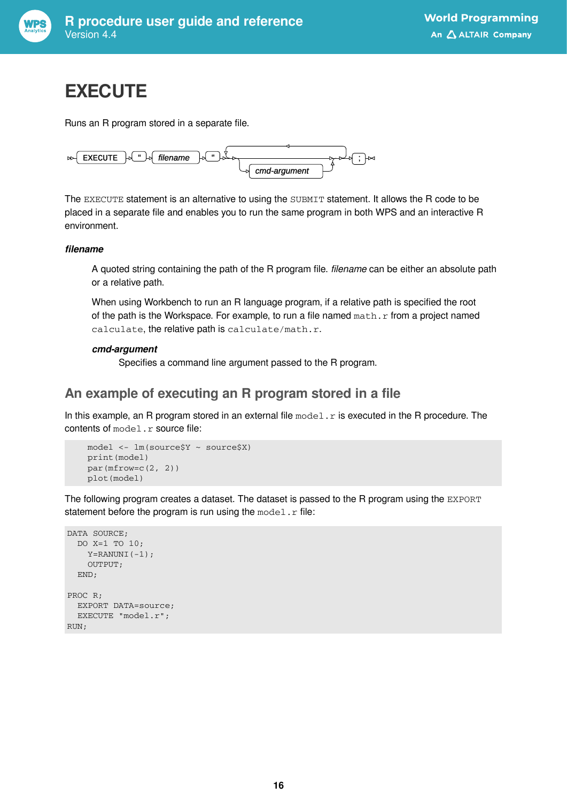

# <span id="page-15-0"></span>**EXECUTE**

Runs an R program stored in a separate file.



The EXECUTE statement is an alternative to using the SUBMIT statement. It allows the R code to be placed in a separate file and enables you to run the same program in both WPS and an interactive R environment.

### *filename*

A quoted string containing the path of the R program file. *filename* can be either an absolute path or a relative path.

When using Workbench to run an R language program, if a relative path is specified the root of the path is the Workspace. For example, to run a file named  $math.r$  from a project named calculate, the relative path is calculate/math.r.

### *cmd-argument*

Specifies a command line argument passed to the R program.

## **An example of executing an R program stored in a file**

In this example, an R program stored in an external file  $model$ .  $r$  is executed in the R procedure. The contents of model.r source file:

```
 model <- lm(source$Y ~ source$X) 
 print(model)
par(nfrow=c(2, 2)) plot(model)
```
The following program creates a dataset. The dataset is passed to the R program using the EXPORT statement before the program is run using the model.  $r$  file:

```
DATA SOURCE;
   DO X=1 TO 10;
    Y=RANUNI(-1);
     OUTPUT;
   END;
PROC R;
   EXPORT DATA=source;
   EXECUTE "model.r";
RUN;
```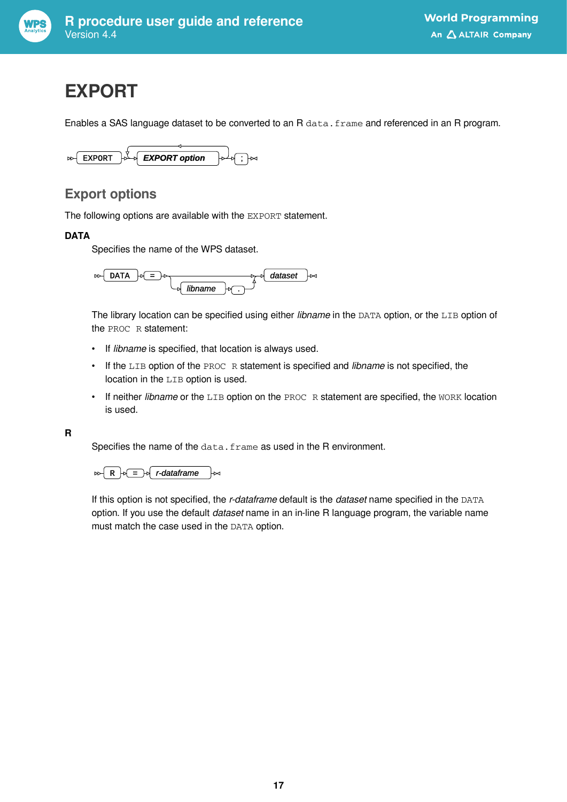

# <span id="page-16-0"></span>**EXPORT**

Enables a SAS language dataset to be converted to an R data.frame and referenced in an R program.



# **Export options**

The following options are available with the EXPORT statement.

### **DATA**

Specifies the name of the WPS dataset.



The library location can be specified using either *libname* in the DATA option, or the LIB option of the PROC R statement:

- If *libname* is specified, that location is always used.
- If the LIB option of the PROC R statement is specified and *libname* is not specified, the location in the LIB option is used.
- If neither *libname* or the LIB option on the PROC R statement are specified, the WORK location is used.

**R**

Specifies the name of the data.frame as used in the R environment.

## $R \models \Box$  r-dataframe

If this option is not specified, the *r-dataframe* default is the *dataset* name specified in the DATA option. If you use the default *dataset* name in an in-line R language program, the variable name must match the case used in the DATA option.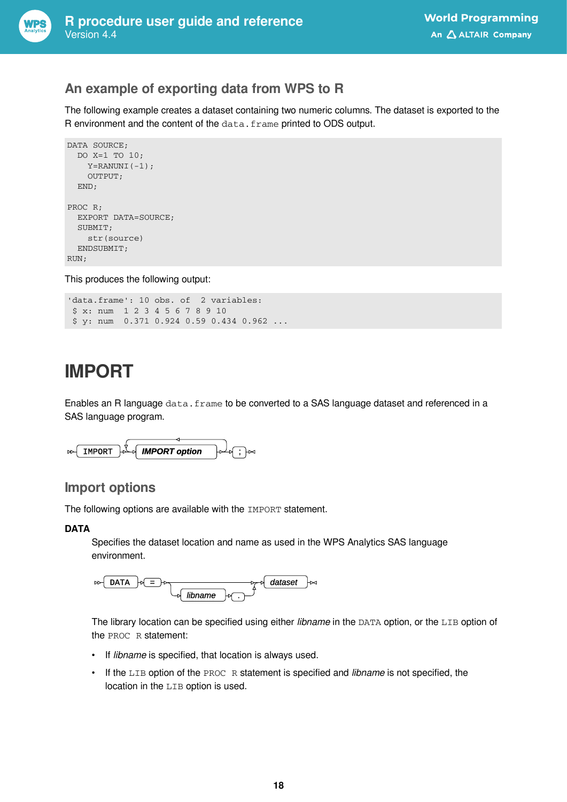

# **An example of exporting data from WPS to R**

The following example creates a dataset containing two numeric columns. The dataset is exported to the R environment and the content of the data.frame printed to ODS output.

```
DATA SOURCE;
   DO X=1 TO 10;
    Y=RANUNI(-1);
     OUTPUT;
   END;
PROC R;
   EXPORT DATA=SOURCE;
  SUBMIT:
    str(source)
   ENDSUBMIT;
RUN;
```
This produces the following output:

```
'data.frame': 10 obs. of 2 variables:
 $ x: num 1 2 3 4 5 6 7 8 9 10
 $ y: num 0.371 0.924 0.59 0.434 0.962 ...
```
# <span id="page-17-0"></span>**IMPORT**

Enables an R language data. frame to be converted to a SAS language dataset and referenced in a SAS language program.



# **Import options**

The following options are available with the **IMPORT** statement.

### **DATA**

Specifies the dataset location and name as used in the WPS Analytics SAS language environment.



The library location can be specified using either *libname* in the DATA option, or the LIB option of the PROC R statement:

- If *libname* is specified, that location is always used.
- If the LIB option of the PROC R statement is specified and *libname* is not specified, the location in the LIB option is used.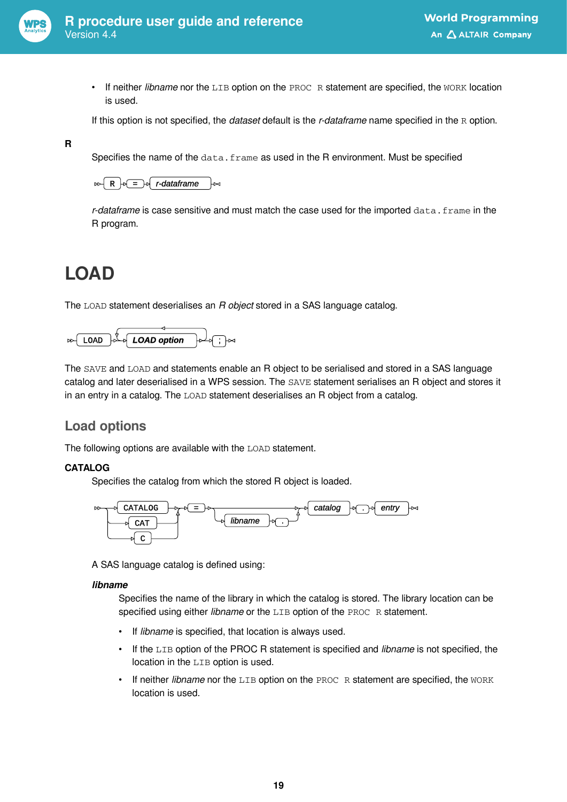

• If neither *libname* nor the LIB option on the PROC R statement are specified, the WORK location is used.

If this option is not specified, the *dataset* default is the *r-dataframe* name specified in the R option.

#### **R**

Specifies the name of the data.frame as used in the R environment. Must be specified

 $\triangleright$  R  $\triangleright$  =  $\triangleright$  r-dataframe

*r-dataframe* is case sensitive and must match the case used for the imported data.frame in the R program.

# <span id="page-18-0"></span>**LOAD**

The LOAD statement deserialises an *R object* stored in a SAS language catalog.



The SAVE and LOAD and statements enable an R object to be serialised and stored in a SAS language catalog and later deserialised in a WPS session. The SAVE statement serialises an R object and stores it in an entry in a catalog. The LOAD statement deserialises an R object from a catalog.

# **Load options**

The following options are available with the LOAD statement.

### **CATALOG**

Specifies the catalog from which the stored R object is loaded.



A SAS language catalog is defined using:

#### *libname*

Specifies the name of the library in which the catalog is stored. The library location can be specified using either *libname* or the LIB option of the PROC R statement.

- If *libname* is specified, that location is always used.
- If the LIB option of the PROC R statement is specified and *libname* is not specified, the location in the LIB option is used.
- If neither *libname* nor the LIB option on the PROC R statement are specified, the WORK location is used.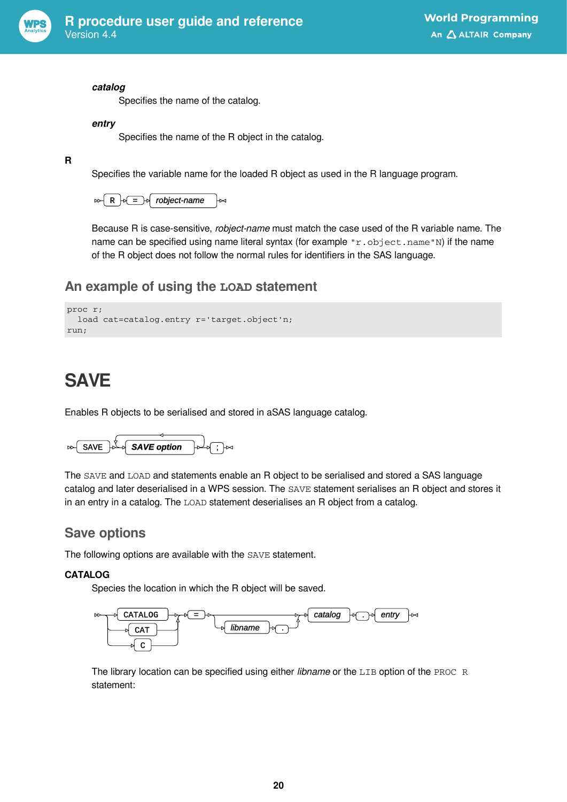

#### *catalog*

Specifies the name of the catalog.

### *entry*

Specifies the name of the R object in the catalog.

#### **R**

Specifies the variable name for the loaded R object as used in the R language program.

 $R \models \Box \Rightarrow$  robject-name

Because R is case-sensitive, *robject-name* must match the case used of the R variable name. The name can be specified using name literal syntax (for example " $r$ . object.name"N) if the name of the R object does not follow the normal rules for identifiers in the SAS language.

## **An example of using the LOAD statement**

```
proc r;
   load cat=catalog.entry r='target.object'n;
run;
```
# <span id="page-19-0"></span>**SAVE**

Enables R objects to be serialised and stored in aSAS language catalog.



The SAVE and LOAD and statements enable an R object to be serialised and stored a SAS language catalog and later deserialised in a WPS session. The SAVE statement serialises an R object and stores it in an entry in a catalog. The LOAD statement deserialises an R object from a catalog.

## **Save options**

The following options are available with the SAVE statement.

#### **CATALOG**

Species the location in which the R object will be saved.



The library location can be specified using either *libname* or the LIB option of the PROC R statement: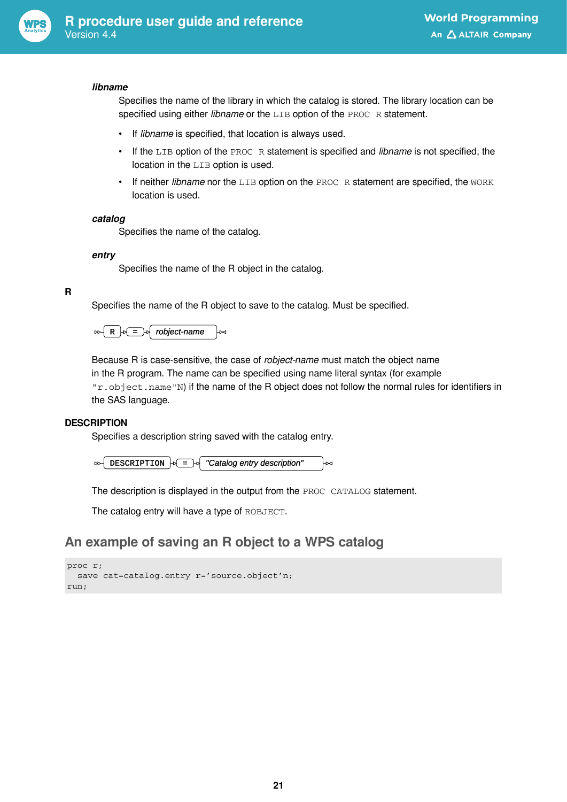

#### *libname*

Specifies the name of the library in which the catalog is stored. The library location can be specified using either *libname* or the LIB option of the PROC R statement.

- If *libname* is specified, that location is always used.
- If the LIB option of the PROC R statement is specified and *libname* is not specified, the location in the LIB option is used.
- If neither *libname* nor the LIB option on the PROC R statement are specified, the WORK location is used.

#### *catalog*

Specifies the name of the catalog.

#### *entry*

Specifies the name of the R object in the catalog.

#### **R**

Specifies the name of the R object to save to the catalog. Must be specified.

 $\triangleright$  R  $\triangleright$  =  $\triangleright$  robject-name

Because R is case-sensitive, the case of *robject-name* must match the object name in the R program. The name can be specified using name literal syntax (for example "r.object.name"N) if the name of the R object does not follow the normal rules for identifiers in the SAS language.

#### **DESCRIPTION**

Specifies a description string saved with the catalog entry.

 $\mathbb{R}$  DESCRIPTION  $\mathbb{R}$  =  $\mathbb{R}$  "Catalog entry description"

The description is displayed in the output from the PROC CATALOG statement.

The catalog entry will have a type of ROBJECT.

## **An example of saving an R object to a WPS catalog**

```
proc r;
  save cat=catalog.entry r='source.object'n;
run;
```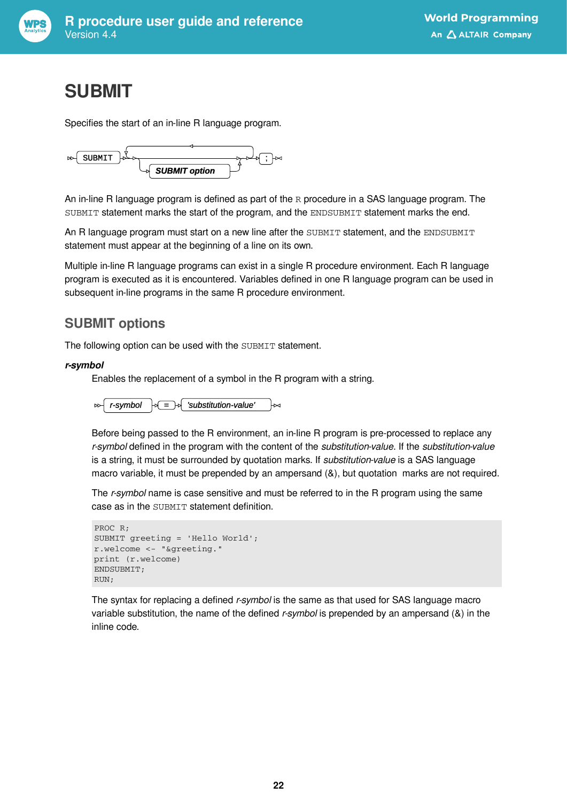

# <span id="page-21-0"></span>**SUBMIT**

Specifies the start of an in-line R language program.



An in-line R language program is defined as part of the R procedure in a SAS language program. The SUBMIT statement marks the start of the program, and the ENDSUBMIT statement marks the end.

An R language program must start on a new line after the SUBMIT statement, and the ENDSUBMIT statement must appear at the beginning of a line on its own.

Multiple in-line R language programs can exist in a single R procedure environment. Each R language program is executed as it is encountered. Variables defined in one R language program can be used in subsequent in-line programs in the same R procedure environment.

## **SUBMIT options**

The following option can be used with the SUBMIT statement.

### *r-symbol*

Enables the replacement of a symbol in the R program with a string.



Before being passed to the R environment, an in-line R program is pre-processed to replace any *r-symbol* defined in the program with the content of the *substitution-value*. If the *substitution-value* is a string, it must be surrounded by quotation marks. If *substitution-value* is a SAS language macro variable, it must be prepended by an ampersand (&), but quotation marks are not required.

The *r-symbol* name is case sensitive and must be referred to in the R program using the same case as in the SUBMIT statement definition.

```
PROC R;
SUBMIT greeting = 'Hello World';
r.welcome <- "&greeting."
print (r.welcome)
ENDSUBMIT;
RUN;
```
The syntax for replacing a defined *r-symbol* is the same as that used for SAS language macro variable substitution, the name of the defined *r-symbol* is prepended by an ampersand (&) in the inline code.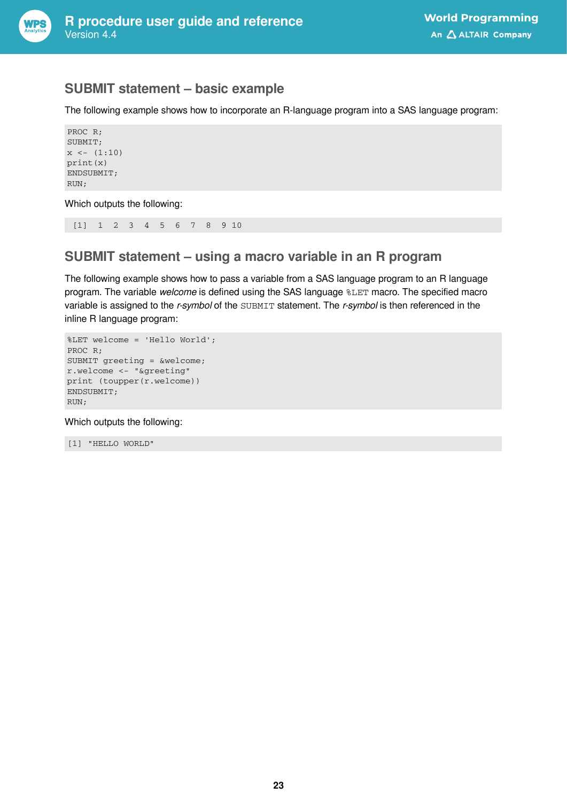

## **SUBMIT statement – basic example**

The following example shows how to incorporate an R-language program into a SAS language program:

PROC R; SUBMIT;  $x \leftarrow (1:10)$ print(x) ENDSUBMIT; RUN;

Which outputs the following:

[1] 1 2 3 4 5 6 7 8 9 10

## **SUBMIT statement – using a macro variable in an R program**

The following example shows how to pass a variable from a SAS language program to an R language program. The variable *welcome* is defined using the SAS language %LET macro. The specified macro variable is assigned to the *r-symbol* of the SUBMIT statement. The *r-symbol* is then referenced in the inline R language program:

```
%LET welcome = 'Hello World';
PROC R;
SUBMIT greeting = &welcome;
r.welcome <- "&greeting"
print (toupper(r.welcome))
ENDSUBMIT;
RUN;
```
Which outputs the following:

[1] "HELLO WORLD"